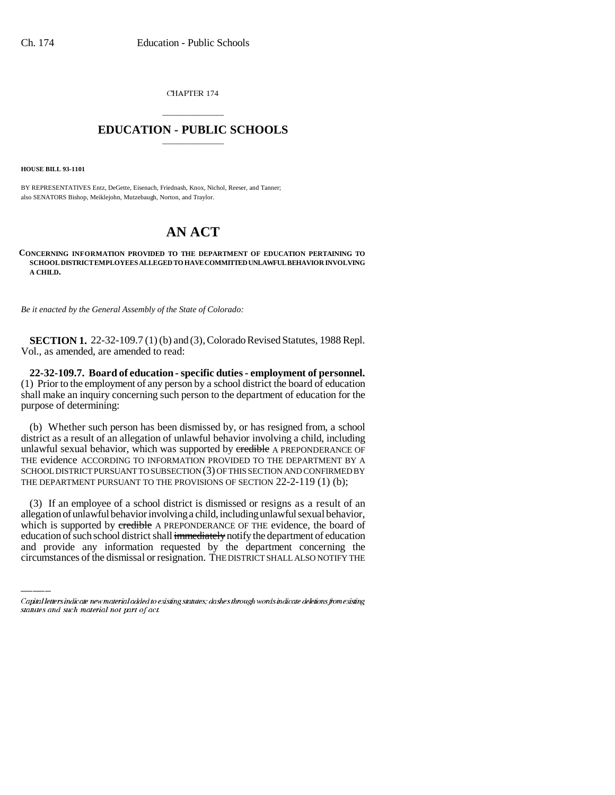CHAPTER 174

## \_\_\_\_\_\_\_\_\_\_\_\_\_\_\_ **EDUCATION - PUBLIC SCHOOLS** \_\_\_\_\_\_\_\_\_\_\_\_\_\_\_

**HOUSE BILL 93-1101**

BY REPRESENTATIVES Entz, DeGette, Eisenach, Friednash, Knox, Nichol, Reeser, and Tanner; also SENATORS Bishop, Meiklejohn, Mutzebaugh, Norton, and Traylor.

## **AN ACT**

## **CONCERNING INFORMATION PROVIDED TO THE DEPARTMENT OF EDUCATION PERTAINING TO SCHOOL DISTRICT EMPLOYEES ALLEGED TO HAVE COMMITTED UNLAWFUL BEHAVIOR INVOLVING A CHILD.**

*Be it enacted by the General Assembly of the State of Colorado:*

**SECTION 1.** 22-32-109.7 (1) (b) and (3), Colorado Revised Statutes, 1988 Repl. Vol., as amended, are amended to read:

**22-32-109.7. Board of education - specific duties - employment of personnel.** (1) Prior to the employment of any person by a school district the board of education shall make an inquiry concerning such person to the department of education for the purpose of determining:

(b) Whether such person has been dismissed by, or has resigned from, a school district as a result of an allegation of unlawful behavior involving a child, including unlawful sexual behavior, which was supported by credible A PREPONDERANCE OF THE evidence ACCORDING TO INFORMATION PROVIDED TO THE DEPARTMENT BY A SCHOOL DISTRICT PURSUANT TO SUBSECTION (3) OF THIS SECTION AND CONFIRMED BY THE DEPARTMENT PURSUANT TO THE PROVISIONS OF SECTION 22-2-119 (1) (b);

allegation of unlawful behavior involving a child, including unlawful sexual behavior, (3) If an employee of a school district is dismissed or resigns as a result of an which is supported by credible A PREPONDERANCE OF THE evidence, the board of education of such school district shall immediately notify the department of education and provide any information requested by the department concerning the circumstances of the dismissal or resignation. THE DISTRICT SHALL ALSO NOTIFY THE

Capital letters indicate new material added to existing statutes; dashes through words indicate deletions from existing statutes and such material not part of act.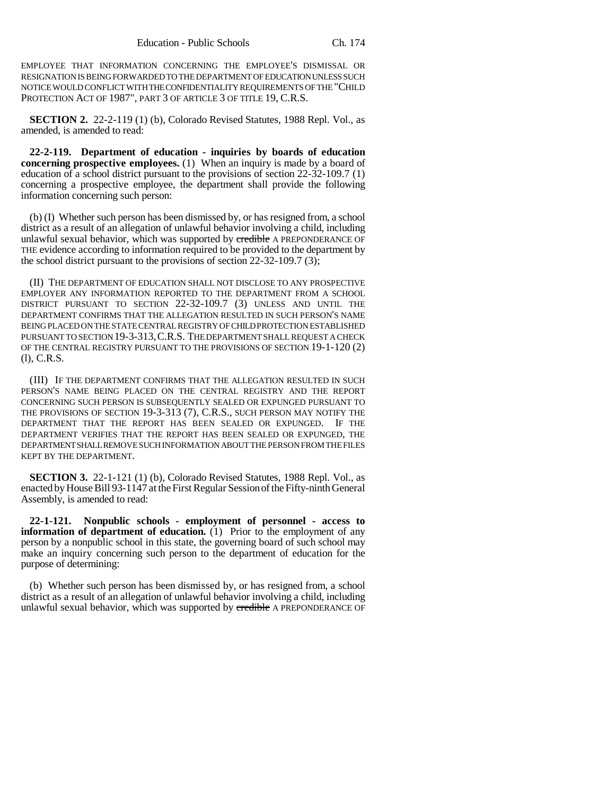EMPLOYEE THAT INFORMATION CONCERNING THE EMPLOYEE'S DISMISSAL OR RESIGNATION IS BEING FORWARDED TO THE DEPARTMENT OF EDUCATION UNLESS SUCH NOTICE WOULD CONFLICT WITH THE CONFIDENTIALITY REQUIREMENTS OF THE "CHILD PROTECTION ACT OF 1987", PART 3 OF ARTICLE 3 OF TITLE 19, C.R.S.

**SECTION 2.** 22-2-119 (1) (b), Colorado Revised Statutes, 1988 Repl. Vol., as amended, is amended to read:

**22-2-119. Department of education - inquiries by boards of education concerning prospective employees.** (1) When an inquiry is made by a board of education of a school district pursuant to the provisions of section 22-32-109.7 (1) concerning a prospective employee, the department shall provide the following information concerning such person:

(b) (I) Whether such person has been dismissed by, or has resigned from, a school district as a result of an allegation of unlawful behavior involving a child, including unlawful sexual behavior, which was supported by credible A PREPONDERANCE OF THE evidence according to information required to be provided to the department by the school district pursuant to the provisions of section  $22-32-109.7$  (3);

(II) THE DEPARTMENT OF EDUCATION SHALL NOT DISCLOSE TO ANY PROSPECTIVE EMPLOYER ANY INFORMATION REPORTED TO THE DEPARTMENT FROM A SCHOOL DISTRICT PURSUANT TO SECTION 22-32-109.7 (3) UNLESS AND UNTIL THE DEPARTMENT CONFIRMS THAT THE ALLEGATION RESULTED IN SUCH PERSON'S NAME BEING PLACED ON THE STATE CENTRAL REGISTRY OF CHILD PROTECTION ESTABLISHED PURSUANT TO SECTION 19-3-313,C.R.S. THE DEPARTMENT SHALL REQUEST A CHECK OF THE CENTRAL REGISTRY PURSUANT TO THE PROVISIONS OF SECTION 19-1-120 (2) (l), C.R.S.

(III) IF THE DEPARTMENT CONFIRMS THAT THE ALLEGATION RESULTED IN SUCH PERSON'S NAME BEING PLACED ON THE CENTRAL REGISTRY AND THE REPORT CONCERNING SUCH PERSON IS SUBSEQUENTLY SEALED OR EXPUNGED PURSUANT TO THE PROVISIONS OF SECTION 19-3-313 (7), C.R.S., SUCH PERSON MAY NOTIFY THE DEPARTMENT THAT THE REPORT HAS BEEN SEALED OR EXPUNGED. IF THE DEPARTMENT VERIFIES THAT THE REPORT HAS BEEN SEALED OR EXPUNGED, THE DEPARTMENT SHALL REMOVE SUCH INFORMATION ABOUT THE PERSON FROM THE FILES KEPT BY THE DEPARTMENT.

**SECTION 3.** 22-1-121 (1) (b), Colorado Revised Statutes, 1988 Repl. Vol., as enacted by House Bill 93-1147 at the First Regular Session of the Fifty-ninth General Assembly, is amended to read:

**22-1-121. Nonpublic schools - employment of personnel - access to information of department of education.** (1) Prior to the employment of any person by a nonpublic school in this state, the governing board of such school may make an inquiry concerning such person to the department of education for the purpose of determining:

(b) Whether such person has been dismissed by, or has resigned from, a school district as a result of an allegation of unlawful behavior involving a child, including unlawful sexual behavior, which was supported by credible A PREPONDERANCE OF